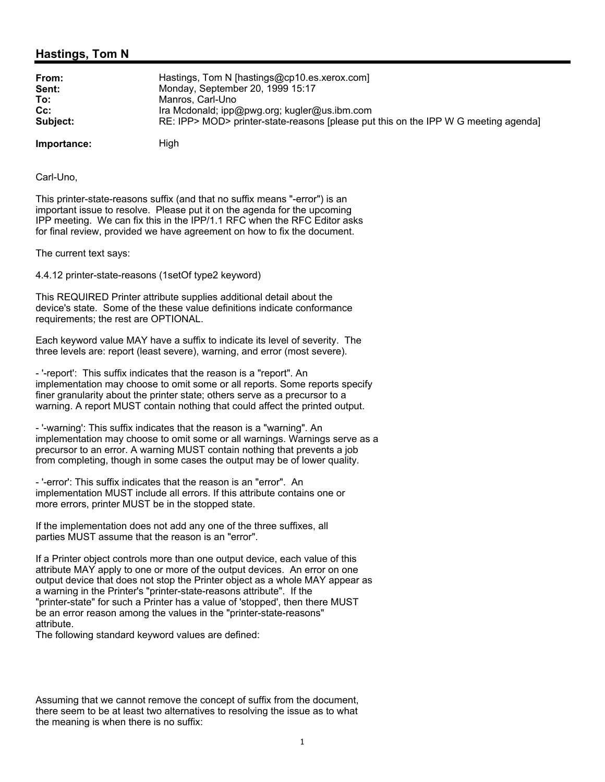## **Hastings, Tom N**

| From:       | Hastings, Tom N [hastings@cp10.es.xerox.com]                                        |
|-------------|-------------------------------------------------------------------------------------|
| Sent:       | Monday, September 20, 1999 15:17                                                    |
| To:         | Manros, Carl-Uno                                                                    |
| $Cc$ :      | Ira Mcdonald; ipp@pwg.org; kugler@us.ibm.com                                        |
| Subject:    | RE: IPP> MOD> printer-state-reasons [please put this on the IPP W G meeting agenda] |
| Importance: | High                                                                                |

Carl-Uno,

This printer-state-reasons suffix (and that no suffix means "-error") is an important issue to resolve. Please put it on the agenda for the upcoming IPP meeting. We can fix this in the IPP/1.1 RFC when the RFC Editor asks for final review, provided we have agreement on how to fix the document.

The current text says:

4.4.12 printer-state-reasons (1setOf type2 keyword)

This REQUIRED Printer attribute supplies additional detail about the device's state. Some of the these value definitions indicate conformance requirements; the rest are OPTIONAL.

Each keyword value MAY have a suffix to indicate its level of severity. The three levels are: report (least severe), warning, and error (most severe).

- '-report': This suffix indicates that the reason is a "report". An implementation may choose to omit some or all reports. Some reports specify finer granularity about the printer state; others serve as a precursor to a warning. A report MUST contain nothing that could affect the printed output.

- '-warning': This suffix indicates that the reason is a "warning". An implementation may choose to omit some or all warnings. Warnings serve as a precursor to an error. A warning MUST contain nothing that prevents a job from completing, though in some cases the output may be of lower quality.

- '-error': This suffix indicates that the reason is an "error". An implementation MUST include all errors. If this attribute contains one or more errors, printer MUST be in the stopped state.

If the implementation does not add any one of the three suffixes, all parties MUST assume that the reason is an "error".

If a Printer object controls more than one output device, each value of this attribute MAY apply to one or more of the output devices. An error on one output device that does not stop the Printer object as a whole MAY appear as a warning in the Printer's "printer-state-reasons attribute". If the "printer-state" for such a Printer has a value of 'stopped', then there MUST be an error reason among the values in the "printer-state-reasons" attribute.

The following standard keyword values are defined:

Assuming that we cannot remove the concept of suffix from the document, there seem to be at least two alternatives to resolving the issue as to what the meaning is when there is no suffix: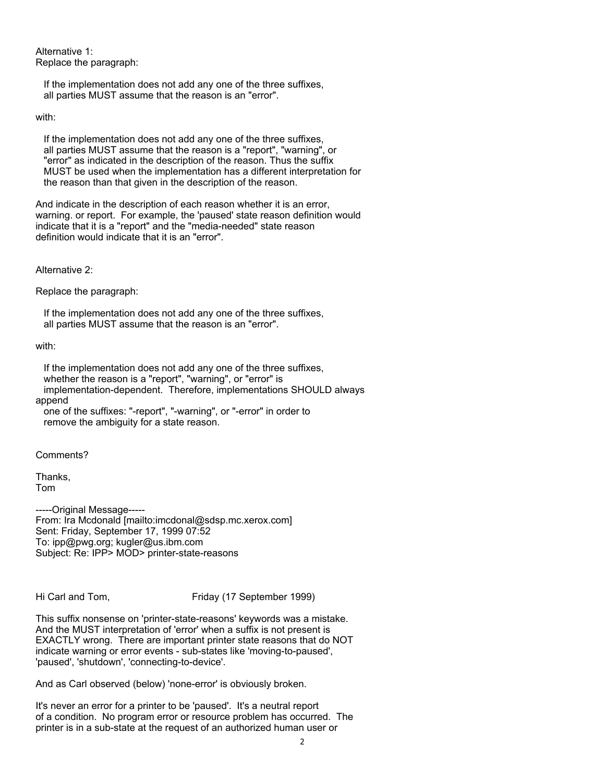Alternative 1: Replace the paragraph:

 If the implementation does not add any one of the three suffixes, all parties MUST assume that the reason is an "error".

with:

 If the implementation does not add any one of the three suffixes, all parties MUST assume that the reason is a "report", "warning", or "error" as indicated in the description of the reason. Thus the suffix MUST be used when the implementation has a different interpretation for the reason than that given in the description of the reason.

And indicate in the description of each reason whether it is an error, warning. or report. For example, the 'paused' state reason definition would indicate that it is a "report" and the "media-needed" state reason definition would indicate that it is an "error".

Alternative 2:

Replace the paragraph:

 If the implementation does not add any one of the three suffixes, all parties MUST assume that the reason is an "error".

with:

 If the implementation does not add any one of the three suffixes, whether the reason is a "report", "warning", or "error" is implementation-dependent. Therefore, implementations SHOULD always append one of the suffixes: "-report", "-warning", or "-error" in order to

remove the ambiguity for a state reason.

Comments?

Thanks, Tom

-----Original Message----- From: Ira Mcdonald [mailto:imcdonal@sdsp.mc.xerox.com] Sent: Friday, September 17, 1999 07:52 To: ipp@pwg.org; kugler@us.ibm.com Subject: Re: IPP> MOD> printer-state-reasons

Hi Carl and Tom, Friday (17 September 1999)

This suffix nonsense on 'printer-state-reasons' keywords was a mistake. And the MUST interpretation of 'error' when a suffix is not present is EXACTLY wrong. There are important printer state reasons that do NOT indicate warning or error events - sub-states like 'moving-to-paused', 'paused', 'shutdown', 'connecting-to-device'.

And as Carl observed (below) 'none-error' is obviously broken.

It's never an error for a printer to be 'paused'. It's a neutral report of a condition. No program error or resource problem has occurred. The printer is in a sub-state at the request of an authorized human user or